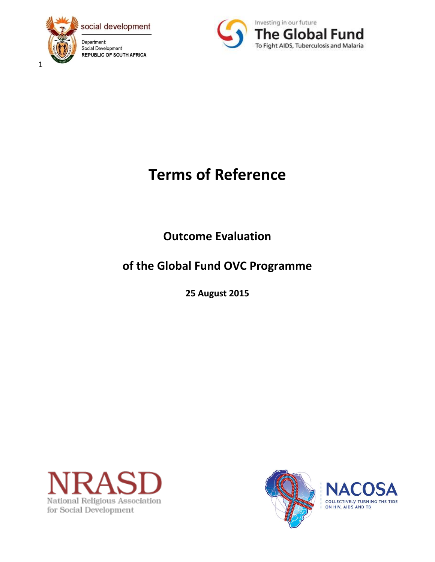



# **Terms of Reference**

**Outcome Evaluation** 

## **of the Global Fund OVC Programme**

**25 August 2015**





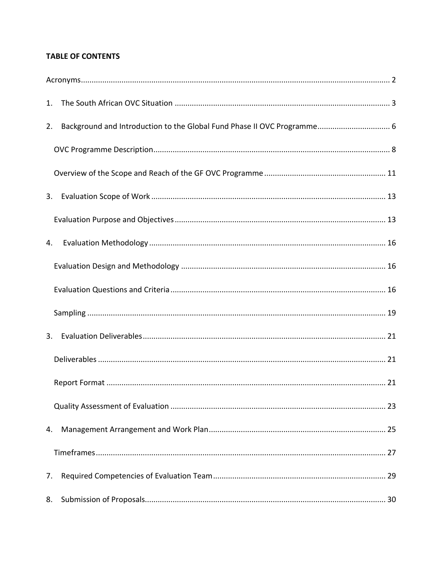### **TABLE OF CONTENTS**

| 1. |  |
|----|--|
| 2. |  |
|    |  |
|    |  |
| 3. |  |
|    |  |
| 4. |  |
|    |  |
|    |  |
|    |  |
| 3. |  |
|    |  |
|    |  |
|    |  |
| 4. |  |
|    |  |
| 7. |  |
| 8. |  |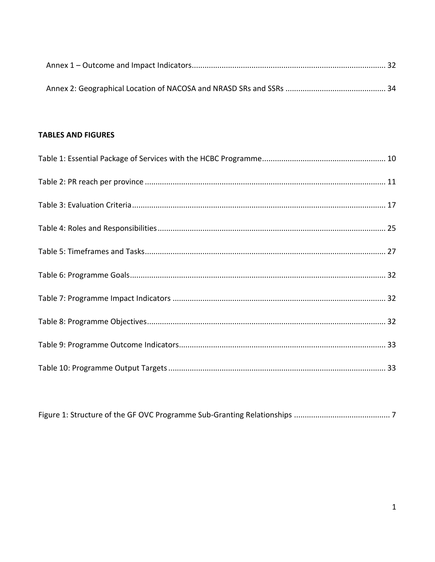#### **TABLES AND FIGURES**

|--|--|--|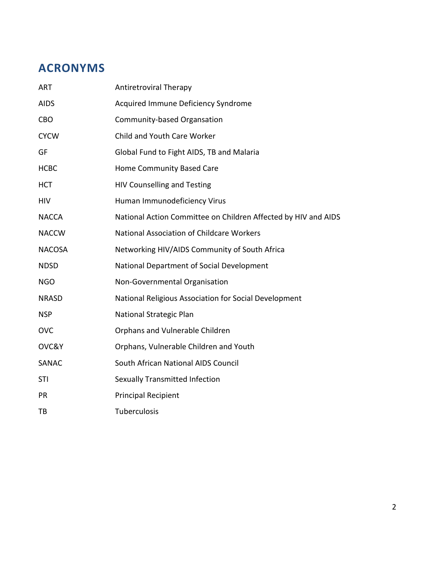## **ACRONYMS**

| <b>ART</b>    | Antiretroviral Therapy                                         |
|---------------|----------------------------------------------------------------|
| <b>AIDS</b>   | Acquired Immune Deficiency Syndrome                            |
| <b>CBO</b>    | Community-based Organsation                                    |
| <b>CYCW</b>   | Child and Youth Care Worker                                    |
| GF            | Global Fund to Fight AIDS, TB and Malaria                      |
| <b>HCBC</b>   | Home Community Based Care                                      |
| <b>HCT</b>    | <b>HIV Counselling and Testing</b>                             |
| <b>HIV</b>    | Human Immunodeficiency Virus                                   |
| <b>NACCA</b>  | National Action Committee on Children Affected by HIV and AIDS |
| <b>NACCW</b>  | National Association of Childcare Workers                      |
| <b>NACOSA</b> | Networking HIV/AIDS Community of South Africa                  |
| <b>NDSD</b>   | National Department of Social Development                      |
| <b>NGO</b>    | Non-Governmental Organisation                                  |
| <b>NRASD</b>  | National Religious Association for Social Development          |
| <b>NSP</b>    | National Strategic Plan                                        |
| <b>OVC</b>    | Orphans and Vulnerable Children                                |
| OVC&Y         | Orphans, Vulnerable Children and Youth                         |
| <b>SANAC</b>  | South African National AIDS Council                            |
| <b>STI</b>    | Sexually Transmitted Infection                                 |
| PR            | <b>Principal Recipient</b>                                     |
| ТB            | <b>Tuberculosis</b>                                            |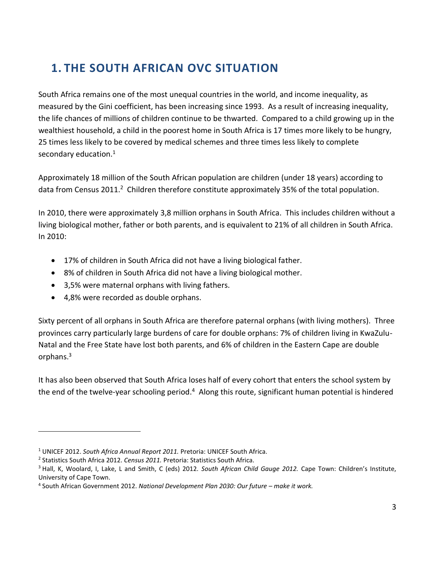## **1. THE SOUTH AFRICAN OVC SITUATION**

South Africa remains one of the most unequal countries in the world, and income inequality, as measured by the Gini coefficient, has been increasing since 1993. As a result of increasing inequality, the life chances of millions of children continue to be thwarted. Compared to a child growing up in the wealthiest household, a child in the poorest home in South Africa is 17 times more likely to be hungry, 25 times less likely to be covered by medical schemes and three times less likely to complete secondary education.<sup>1</sup>

Approximately 18 million of the South African population are children (under 18 years) according to data from Census 2011.<sup>2</sup> Children therefore constitute approximately 35% of the total population.

In 2010, there were approximately 3,8 million orphans in South Africa. This includes children without a living biological mother, father or both parents, and is equivalent to 21% of all children in South Africa. In 2010:

- 17% of children in South Africa did not have a living biological father.
- 8% of children in South Africa did not have a living biological mother.
- 3,5% were maternal orphans with living fathers.
- 4,8% were recorded as double orphans.

Sixty percent of all orphans in South Africa are therefore paternal orphans (with living mothers). Three provinces carry particularly large burdens of care for double orphans: 7% of children living in KwaZulu-Natal and the Free State have lost both parents, and 6% of children in the Eastern Cape are double orphans.<sup>3</sup>

It has also been observed that South Africa loses half of every cohort that enters the school system by the end of the twelve-year schooling period.<sup>4</sup> Along this route, significant human potential is hindered

 $\overline{a}$ 

<sup>1</sup> UNICEF 2012. *South Africa Annual Report 2011.* Pretoria: UNICEF South Africa.

<sup>2</sup> Statistics South Africa 2012. *Census 2011.* Pretoria: Statistics South Africa.

<sup>3</sup> Hall, K, Woolard, I, Lake, L and Smith, C (eds) 2012. *South African Child Gauge 2012.* Cape Town: Children's Institute, University of Cape Town.

<sup>4</sup> South African Government 2012. *National Development Plan 2030: Our future – make it work.*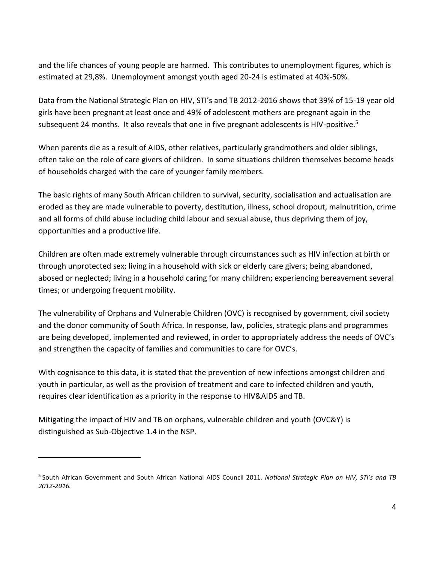and the life chances of young people are harmed. This contributes to unemployment figures, which is estimated at 29,8%. Unemployment amongst youth aged 20-24 is estimated at 40%-50%.

Data from the National Strategic Plan on HIV, STI's and TB 2012-2016 shows that 39% of 15-19 year old girls have been pregnant at least once and 49% of adolescent mothers are pregnant again in the subsequent 24 months. It also reveals that one in five pregnant adolescents is HIV-positive.<sup>5</sup>

When parents die as a result of AIDS, other relatives, particularly grandmothers and older siblings, often take on the role of care givers of children. In some situations children themselves become heads of households charged with the care of younger family members.

The basic rights of many South African children to survival, security, socialisation and actualisation are eroded as they are made vulnerable to poverty, destitution, illness, school dropout, malnutrition, crime and all forms of child abuse including child labour and sexual abuse, thus depriving them of joy, opportunities and a productive life.

Children are often made extremely vulnerable through circumstances such as HIV infection at birth or through unprotected sex; living in a household with sick or elderly care givers; being abandoned, abosed or neglected; living in a household caring for many children; experiencing bereavement several times; or undergoing frequent mobility.

The vulnerability of Orphans and Vulnerable Children (OVC) is recognised by government, civil society and the donor community of South Africa. In response, law, policies, strategic plans and programmes are being developed, implemented and reviewed, in order to appropriately address the needs of OVC's and strengthen the capacity of families and communities to care for OVC's.

With cognisance to this data, it is stated that the prevention of new infections amongst children and youth in particular, as well as the provision of treatment and care to infected children and youth, requires clear identification as a priority in the response to HIV&AIDS and TB.

Mitigating the impact of HIV and TB on orphans, vulnerable children and youth (OVC&Y) is distinguished as Sub-Objective 1.4 in the NSP.

 $\overline{a}$ 

<sup>5</sup> South African Government and South African National AIDS Council 2011. *National Strategic Plan on HIV, STI's and TB 2012-2016.*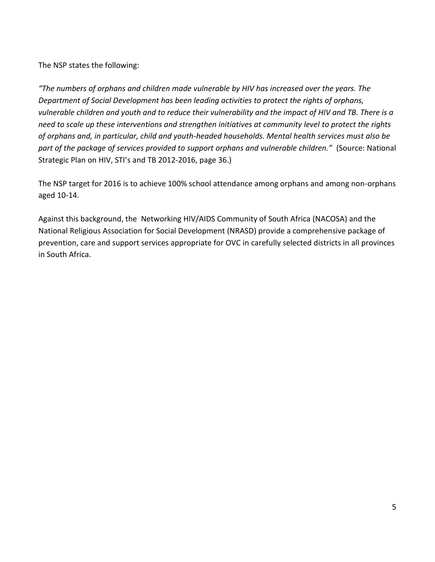The NSP states the following:

*"The numbers of orphans and children made vulnerable by HIV has increased over the years. The Department of Social Development has been leading activities to protect the rights of orphans, vulnerable children and youth and to reduce their vulnerability and the impact of HIV and TB. There is a need to scale up these interventions and strengthen initiatives at community level to protect the rights of orphans and, in particular, child and youth-headed households. Mental health services must also be part of the package of services provided to support orphans and vulnerable children."* (Source: National Strategic Plan on HIV, STI's and TB 2012-2016, page 36.)

The NSP target for 2016 is to achieve 100% school attendance among orphans and among non-orphans aged 10-14.

Against this background, the Networking HIV/AIDS Community of South Africa (NACOSA) and the National Religious Association for Social Development (NRASD) provide a comprehensive package of prevention, care and support services appropriate for OVC in carefully selected districts in all provinces in South Africa.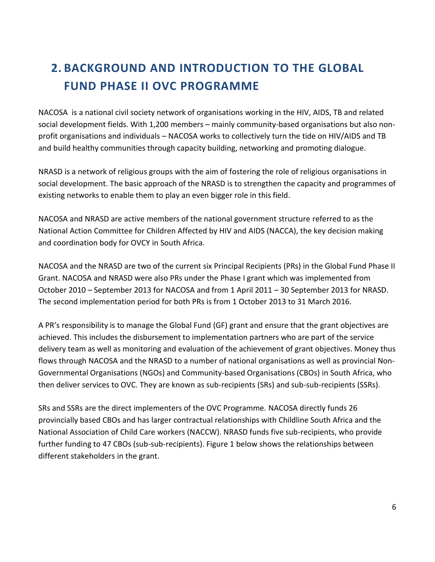## **2. BACKGROUND AND INTRODUCTION TO THE GLOBAL FUND PHASE II OVC PROGRAMME**

NACOSA is a national civil society network of organisations working in the HIV, AIDS, TB and related social development fields. With 1,200 members – mainly community-based organisations but also nonprofit organisations and individuals – NACOSA works to collectively turn the tide on HIV/AIDS and TB and build healthy communities through capacity building, networking and promoting dialogue.

NRASD is a network of religious groups with the aim of fostering the role of religious organisations in social development. The basic approach of the NRASD is to strengthen the capacity and programmes of existing networks to enable them to play an even bigger role in this field.

NACOSA and NRASD are active members of the national government structure referred to as the National Action Committee for Children Affected by HIV and AIDS (NACCA), the key decision making and coordination body for OVCY in South Africa.

NACOSA and the NRASD are two of the current six Principal Recipients (PRs) in the Global Fund Phase II Grant. NACOSA and NRASD were also PRs under the Phase I grant which was implemented from October 2010 – September 2013 for NACOSA and from 1 April 2011 – 30 September 2013 for NRASD. The second implementation period for both PRs is from 1 October 2013 to 31 March 2016.

A PR's responsibility is to manage the Global Fund (GF) grant and ensure that the grant objectives are achieved. This includes the disbursement to implementation partners who are part of the service delivery team as well as monitoring and evaluation of the achievement of grant objectives. Money thus flows through NACOSA and the NRASD to a number of national organisations as well as provincial Non-Governmental Organisations (NGOs) and Community-based Organisations (CBOs) in South Africa, who then deliver services to OVC. They are known as sub-recipients (SRs) and sub-sub-recipients (SSRs).

SRs and SSRs are the direct implementers of the OVC Programme. NACOSA directly funds 26 provincially based CBOs and has larger contractual relationships with Childline South Africa and the National Association of Child Care workers (NACCW). NRASD funds five sub-recipients, who provide further funding to 47 CBOs (sub-sub-recipients). Figure 1 below shows the relationships between different stakeholders in the grant.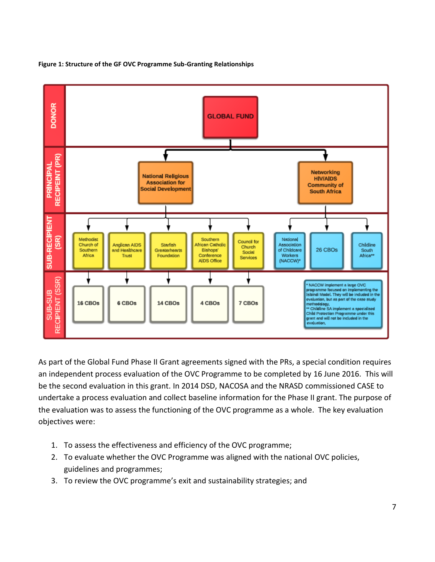

**Figure 1: Structure of the GF OVC Programme Sub-Granting Relationships**

As part of the Global Fund Phase II Grant agreements signed with the PRs, a special condition requires an independent process evaluation of the OVC Programme to be completed by 16 June 2016. This will be the second evaluation in this grant. In 2014 DSD, NACOSA and the NRASD commissioned CASE to undertake a process evaluation and collect baseline information for the Phase II grant. The purpose of the evaluation was to assess the functioning of the OVC programme as a whole. The key evaluation objectives were:

- 1. To assess the effectiveness and efficiency of the OVC programme;
- 2. To evaluate whether the OVC Programme was aligned with the national OVC policies, guidelines and programmes;
- 3. To review the OVC programme's exit and sustainability strategies; and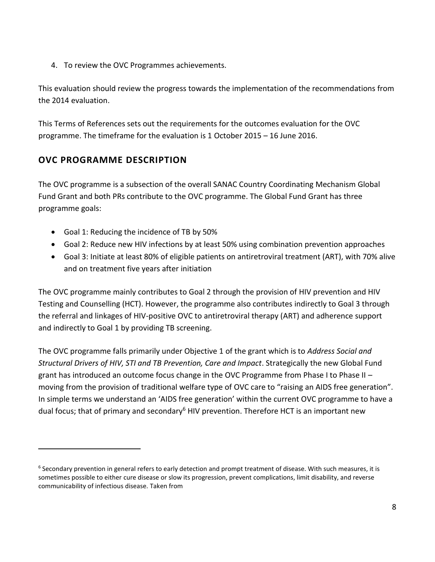4. To review the OVC Programmes achievements.

This evaluation should review the progress towards the implementation of the recommendations from the 2014 evaluation.

This Terms of References sets out the requirements for the outcomes evaluation for the OVC programme. The timeframe for the evaluation is 1 October 2015 – 16 June 2016.

### **OVC PROGRAMME DESCRIPTION**

 $\overline{a}$ 

The OVC programme is a subsection of the overall SANAC Country Coordinating Mechanism Global Fund Grant and both PRs contribute to the OVC programme. The Global Fund Grant has three programme goals:

- Goal 1: Reducing the incidence of TB by 50%
- Goal 2: Reduce new HIV infections by at least 50% using combination prevention approaches
- Goal 3: Initiate at least 80% of eligible patients on antiretroviral treatment (ART), with 70% alive and on treatment five years after initiation

The OVC programme mainly contributes to Goal 2 through the provision of HIV prevention and HIV Testing and Counselling (HCT). However, the programme also contributes indirectly to Goal 3 through the referral and linkages of HIV-positive OVC to antiretroviral therapy (ART) and adherence support and indirectly to Goal 1 by providing TB screening.

The OVC programme falls primarily under Objective 1 of the grant which is to *Address Social and Structural Drivers of HIV, STI and TB Prevention, Care and Impact*. Strategically the new Global Fund grant has introduced an outcome focus change in the OVC Programme from Phase I to Phase II – moving from the provision of traditional welfare type of OVC care to "raising an AIDS free generation". In simple terms we understand an 'AIDS free generation' within the current OVC programme to have a dual focus; that of primary and secondary<sup>6</sup> HIV prevention. Therefore HCT is an important new

<sup>&</sup>lt;sup>6</sup> Secondary prevention in general refers to early detection and prompt treatment of disease. With such measures, it is sometimes possible to either cure disease or slow its progression, prevent complications, limit disability, and reverse communicability of infectious disease. Taken from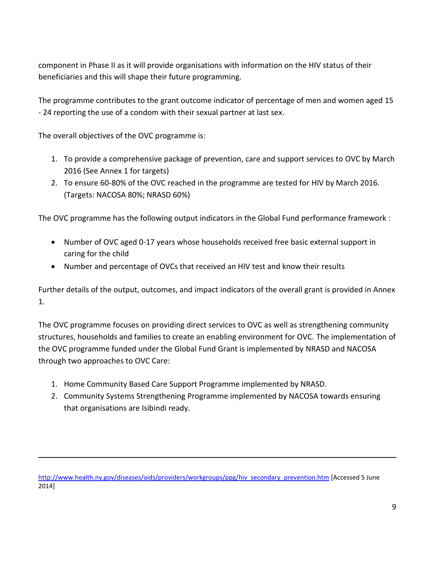component in Phase II as it will provide organisations with information on the HIV status of their beneficiaries and this will shape their future programming.

The programme contributes to the grant outcome indicator of percentage of men and women aged 15 - 24 reporting the use of a condom with their sexual partner at last sex.

The overall objectives of the OVC programme is:

 $\overline{a}$ 

- 1. To provide a comprehensive package of prevention, care and support services to OVC by March 2016 (See Annex 1 for targets)
- 2. To ensure 60-80% of the OVC reached in the programme are tested for HIV by March 2016. (Targets: NACOSA 80%; NRASD 60%)

The OVC programme has the following output indicators in the Global Fund performance framework :

- Number of OVC aged 0-17 years whose households received free basic external support in caring for the child
- Number and percentage of OVCs that received an HIV test and know their results

Further details of the output, outcomes, and impact indicators of the overall grant is provided in Annex 1.

The OVC programme focuses on providing direct services to OVC as well as strengthening community structures, households and families to create an enabling environment for OVC. The implementation of the OVC programme funded under the Global Fund Grant is implemented by NRASD and NACOSA through two approaches to OVC Care:

- 1. Home Community Based Care Support Programme implemented by NRASD.
- 2. Community Systems Strengthening Programme implemented by NACOSA towards ensuring that organisations are Isibindi ready.

[http://www.health.ny.gov/diseases/aids/providers/workgroups/ppg/hiv\\_secondary\\_prevention.htm](http://www.health.ny.gov/diseases/aids/providers/workgroups/ppg/hiv_secondary_prevention.htm) [Accessed 5 June 2014]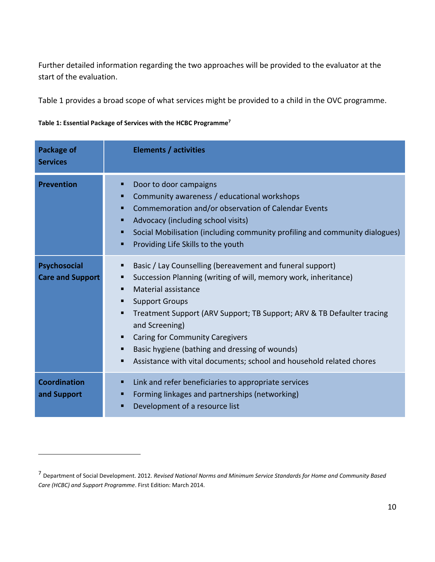Further detailed information regarding the two approaches will be provided to the evaluator at the start of the evaluation.

Table 1 provides a broad scope of what services might be provided to a child in the OVC programme.

| Table 1: Essential Package of Services with the HCBC Programme <sup>7</sup> |  |  |  |  |
|-----------------------------------------------------------------------------|--|--|--|--|
|-----------------------------------------------------------------------------|--|--|--|--|

 $\overline{a}$ 

| <b>Package of</b><br><b>Services</b>           | <b>Elements / activities</b>                                                                                                                                                                                                                                                                                                                                                                                                                                                         |
|------------------------------------------------|--------------------------------------------------------------------------------------------------------------------------------------------------------------------------------------------------------------------------------------------------------------------------------------------------------------------------------------------------------------------------------------------------------------------------------------------------------------------------------------|
| <b>Prevention</b>                              | Door to door campaigns<br>п<br>Community awareness / educational workshops<br>п<br>Commemoration and/or observation of Calendar Events<br>п<br>Advocacy (including school visits)<br>п<br>Social Mobilisation (including community profiling and community dialogues)<br>п<br>Providing Life Skills to the youth<br>п                                                                                                                                                                |
| <b>Psychosocial</b><br><b>Care and Support</b> | Basic / Lay Counselling (bereavement and funeral support)<br>п<br>Succession Planning (writing of will, memory work, inheritance)<br>٠<br>Material assistance<br>п<br><b>Support Groups</b><br>٠<br>Treatment Support (ARV Support; TB Support; ARV & TB Defaulter tracing<br>٠<br>and Screening)<br><b>Caring for Community Caregivers</b><br>п<br>Basic hygiene (bathing and dressing of wounds)<br>п<br>Assistance with vital documents; school and household related chores<br>п |
| <b>Coordination</b><br>and Support             | Link and refer beneficiaries to appropriate services<br>п<br>Forming linkages and partnerships (networking)<br>п<br>Development of a resource list<br>п                                                                                                                                                                                                                                                                                                                              |

<sup>7</sup> Department of Social Development. 2012. *Revised National Norms and Minimum Service Standards for Home and Community Based Care (HCBC) and Support Programme*. First Edition: March 2014.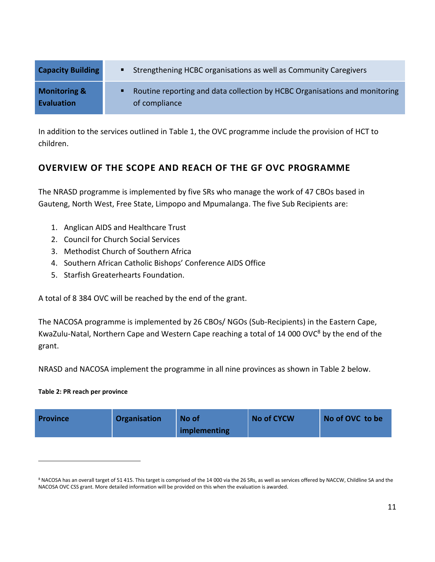| <b>Capacity Building</b> | <b>EXECUTE:</b> Strengthening HCBC organisations as well as Community Caregivers |
|--------------------------|----------------------------------------------------------------------------------|
| <b>Monitoring &amp;</b>  | • Routine reporting and data collection by HCBC Organisations and monitoring     |
| <b>Evaluation</b>        | of compliance                                                                    |

In addition to the services outlined in Table 1, the OVC programme include the provision of HCT to children.

## **OVERVIEW OF THE SCOPE AND REACH OF THE GF OVC PROGRAMME**

The NRASD programme is implemented by five SRs who manage the work of 47 CBOs based in Gauteng, North West, Free State, Limpopo and Mpumalanga. The five Sub Recipients are:

- 1. Anglican AIDS and Healthcare Trust
- 2. Council for Church Social Services
- 3. Methodist Church of Southern Africa
- 4. Southern African Catholic Bishops' Conference AIDS Office
- 5. Starfish Greaterhearts Foundation.

A total of 8 384 OVC will be reached by the end of the grant.

The NACOSA programme is implemented by 26 CBOs/ NGOs (Sub-Recipients) in the Eastern Cape, KwaZulu-Natal, Northern Cape and Western Cape reaching a total of 14 000 OVC<sup>8</sup> by the end of the grant.

NRASD and NACOSA implement the programme in all nine provinces as shown in Table 2 below.

#### **Table 2: PR reach per province**

 $\overline{a}$ 

|  | <b>Province</b> | Organisation | No of<br>implementing | <b>No of CYCW</b> | No of OVC to be |
|--|-----------------|--------------|-----------------------|-------------------|-----------------|
|--|-----------------|--------------|-----------------------|-------------------|-----------------|

<sup>&</sup>lt;sup>8</sup> NACOSA has an overall target of 51 415. This target is comprised of the 14 000 via the 26 SRs, as well as services offered by NACCW, Childline SA and the NACOSA OVC CSS grant. More detailed information will be provided on this when the evaluation is awarded.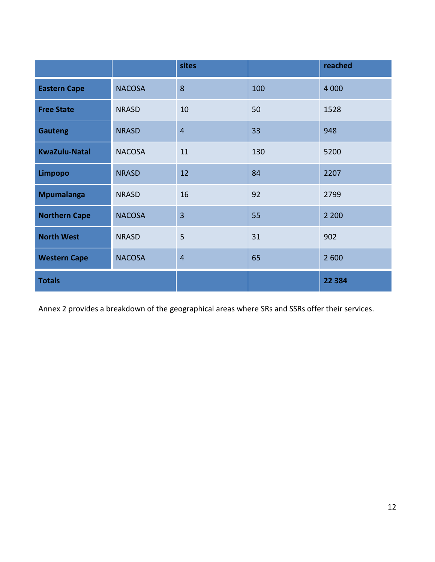|                      |               | sites          |     | reached |
|----------------------|---------------|----------------|-----|---------|
| <b>Eastern Cape</b>  | <b>NACOSA</b> | 8              | 100 | 4 0 0 0 |
| <b>Free State</b>    | <b>NRASD</b>  | 10             | 50  | 1528    |
| <b>Gauteng</b>       | <b>NRASD</b>  | $\overline{4}$ | 33  | 948     |
| <b>KwaZulu-Natal</b> | <b>NACOSA</b> | 11             | 130 | 5200    |
| <b>Limpopo</b>       | <b>NRASD</b>  | 12             | 84  | 2207    |
| <b>Mpumalanga</b>    | <b>NRASD</b>  | 16             | 92  | 2799    |
| <b>Northern Cape</b> | <b>NACOSA</b> | $\overline{3}$ | 55  | 2 2 0 0 |
| <b>North West</b>    | <b>NRASD</b>  | 5              | 31  | 902     |
| <b>Western Cape</b>  | <b>NACOSA</b> | $\overline{4}$ | 65  | 2 600   |
| <b>Totals</b>        |               |                |     | 22 3 84 |

Annex 2 provides a breakdown of the geographical areas where SRs and SSRs offer their services.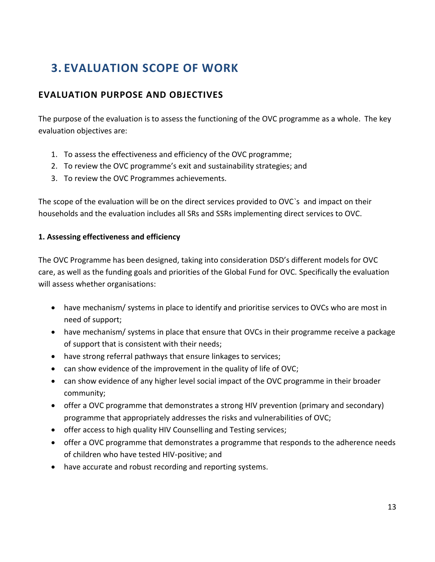## **3. EVALUATION SCOPE OF WORK**

### **EVALUATION PURPOSE AND OBJECTIVES**

The purpose of the evaluation is to assess the functioning of the OVC programme as a whole. The key evaluation objectives are:

- 1. To assess the effectiveness and efficiency of the OVC programme;
- 2. To review the OVC programme's exit and sustainability strategies; and
- 3. To review the OVC Programmes achievements.

The scope of the evaluation will be on the direct services provided to OVC`s and impact on their households and the evaluation includes all SRs and SSRs implementing direct services to OVC.

#### **1. Assessing effectiveness and efficiency**

The OVC Programme has been designed, taking into consideration DSD's different models for OVC care, as well as the funding goals and priorities of the Global Fund for OVC. Specifically the evaluation will assess whether organisations:

- have mechanism/ systems in place to identify and prioritise services to OVCs who are most in need of support;
- have mechanism/ systems in place that ensure that OVCs in their programme receive a package of support that is consistent with their needs;
- have strong referral pathways that ensure linkages to services;
- can show evidence of the improvement in the quality of life of OVC;
- can show evidence of any higher level social impact of the OVC programme in their broader community;
- offer a OVC programme that demonstrates a strong HIV prevention (primary and secondary) programme that appropriately addresses the risks and vulnerabilities of OVC;
- offer access to high quality HIV Counselling and Testing services;
- offer a OVC programme that demonstrates a programme that responds to the adherence needs of children who have tested HIV-positive; and
- have accurate and robust recording and reporting systems.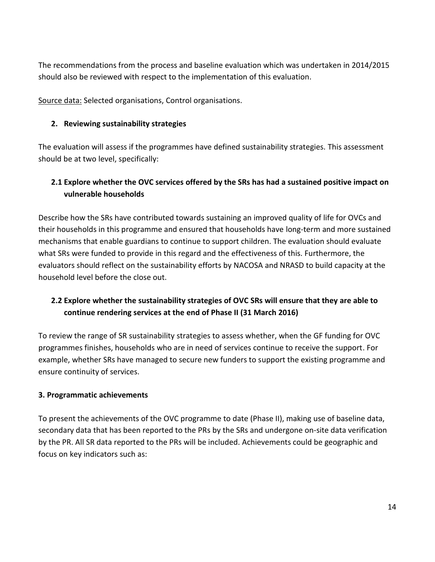The recommendations from the process and baseline evaluation which was undertaken in 2014/2015 should also be reviewed with respect to the implementation of this evaluation.

Source data: Selected organisations, Control organisations.

#### **2. Reviewing sustainability strategies**

The evaluation will assess if the programmes have defined sustainability strategies. This assessment should be at two level, specifically:

### **2.1 Explore whether the OVC services offered by the SRs has had a sustained positive impact on vulnerable households**

Describe how the SRs have contributed towards sustaining an improved quality of life for OVCs and their households in this programme and ensured that households have long-term and more sustained mechanisms that enable guardians to continue to support children. The evaluation should evaluate what SRs were funded to provide in this regard and the effectiveness of this. Furthermore, the evaluators should reflect on the sustainability efforts by NACOSA and NRASD to build capacity at the household level before the close out.

### **2.2 Explore whether the sustainability strategies of OVC SRs will ensure that they are able to continue rendering services at the end of Phase II (31 March 2016)**

To review the range of SR sustainability strategies to assess whether, when the GF funding for OVC programmes finishes, households who are in need of services continue to receive the support. For example, whether SRs have managed to secure new funders to support the existing programme and ensure continuity of services.

#### **3. Programmatic achievements**

To present the achievements of the OVC programme to date (Phase II), making use of baseline data, secondary data that has been reported to the PRs by the SRs and undergone on-site data verification by the PR. All SR data reported to the PRs will be included. Achievements could be geographic and focus on key indicators such as: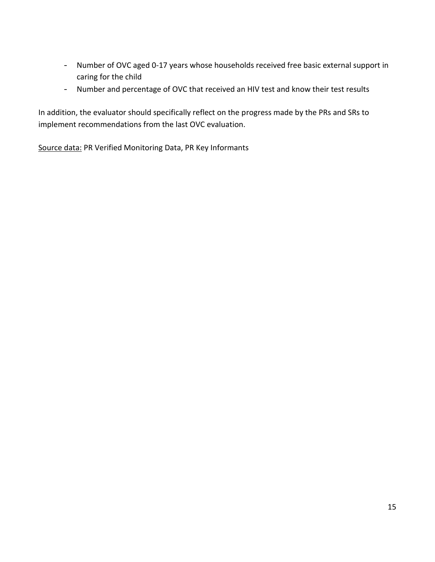- Number of OVC aged 0-17 years whose households received free basic external support in caring for the child
- Number and percentage of OVC that received an HIV test and know their test results

In addition, the evaluator should specifically reflect on the progress made by the PRs and SRs to implement recommendations from the last OVC evaluation.

Source data: PR Verified Monitoring Data, PR Key Informants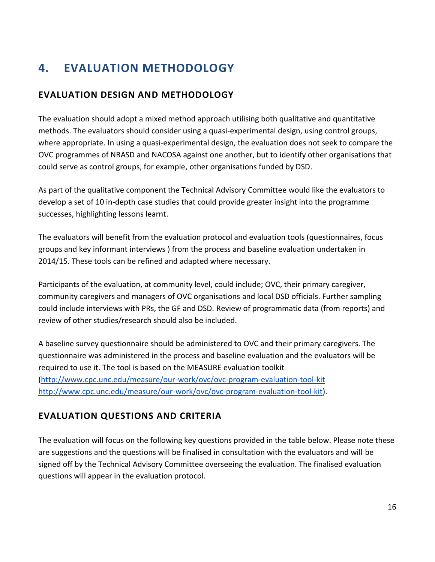## **4. EVALUATION METHODOLOGY**

### **EVALUATION DESIGN AND METHODOLOGY**

The evaluation should adopt a mixed method approach utilising both qualitative and quantitative methods. The evaluators should consider using a quasi-experimental design, using control groups, where appropriate. In using a quasi-experimental design, the evaluation does not seek to compare the OVC programmes of NRASD and NACOSA against one another, but to identify other organisations that could serve as control groups, for example, other organisations funded by DSD.

As part of the qualitative component the Technical Advisory Committee would like the evaluators to develop a set of 10 in-depth case studies that could provide greater insight into the programme successes, highlighting lessons learnt.

The evaluators will benefit from the evaluation protocol and evaluation tools (questionnaires, focus groups and key informant interviews ) from the process and baseline evaluation undertaken in 2014/15. These tools can be refined and adapted where necessary.

Participants of the evaluation, at community level, could include; OVC, their primary caregiver, community caregivers and managers of OVC organisations and local DSD officials. Further sampling could include interviews with PRs, the GF and DSD. Review of programmatic data (from reports) and review of other studies/research should also be included.

A baseline survey questionnaire should be administered to OVC and their primary caregivers. The questionnaire was administered in the process and baseline evaluation and the evaluators will be required to use it. The tool is based on the MEASURE evaluation toolkit [\(http://www.cpc.unc.edu/measure/our-work/ovc/ovc-program-evaluation-tool-kit](http://www.cpc.unc.edu/measure/our-work/ovc/ovc-program-evaluation-tool-kit) [http://www.cpc.unc.edu/measure/our-work/ovc/ovc-program-evaluation-tool-kit\)](http://www.cpc.unc.edu/measure/our-work/ovc/ovc-program-evaluation-tool-kit).

### **EVALUATION QUESTIONS AND CRITERIA**

The evaluation will focus on the following key questions provided in the table below. Please note these are suggestions and the questions will be finalised in consultation with the evaluators and will be signed off by the Technical Advisory Committee overseeing the evaluation. The finalised evaluation questions will appear in the evaluation protocol.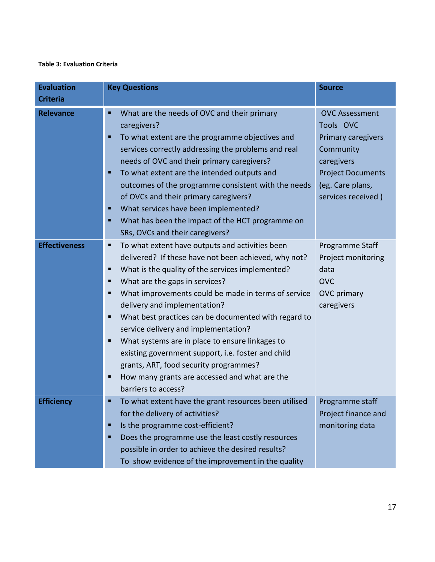#### **Table 3: Evaluation Criteria**

| <b>Evaluation</b><br><b>Criteria</b> | <b>Key Questions</b>                                                                                                                                                                                                                                                                                                                                                                                                                                                                                                                                                                                                                               | <b>Source</b>                                                                                                                                             |
|--------------------------------------|----------------------------------------------------------------------------------------------------------------------------------------------------------------------------------------------------------------------------------------------------------------------------------------------------------------------------------------------------------------------------------------------------------------------------------------------------------------------------------------------------------------------------------------------------------------------------------------------------------------------------------------------------|-----------------------------------------------------------------------------------------------------------------------------------------------------------|
| <b>Relevance</b>                     | What are the needs of OVC and their primary<br>п<br>caregivers?<br>To what extent are the programme objectives and<br>п<br>services correctly addressing the problems and real<br>needs of OVC and their primary caregivers?<br>To what extent are the intended outputs and<br>п<br>outcomes of the programme consistent with the needs<br>of OVCs and their primary caregivers?<br>What services have been implemented?<br>п<br>What has been the impact of the HCT programme on<br>п<br>SRs, OVCs and their caregivers?                                                                                                                          | <b>OVC Assessment</b><br>Tools OVC<br>Primary caregivers<br>Community<br>caregivers<br><b>Project Documents</b><br>(eg. Care plans,<br>services received) |
| <b>Effectiveness</b>                 | To what extent have outputs and activities been<br>п<br>delivered? If these have not been achieved, why not?<br>What is the quality of the services implemented?<br>п<br>What are the gaps in services?<br>п<br>What improvements could be made in terms of service<br>п<br>delivery and implementation?<br>What best practices can be documented with regard to<br>п<br>service delivery and implementation?<br>What systems are in place to ensure linkages to<br>п<br>existing government support, i.e. foster and child<br>grants, ART, food security programmes?<br>How many grants are accessed and what are the<br>п<br>barriers to access? | Programme Staff<br>Project monitoring<br>data<br><b>OVC</b><br><b>OVC</b> primary<br>caregivers                                                           |
| <b>Efficiency</b>                    | To what extent have the grant resources been utilised<br>for the delivery of activities?<br>Is the programme cost-efficient?<br>п<br>Does the programme use the least costly resources<br>п<br>possible in order to achieve the desired results?<br>To show evidence of the improvement in the quality                                                                                                                                                                                                                                                                                                                                             | Programme staff<br>Project finance and<br>monitoring data                                                                                                 |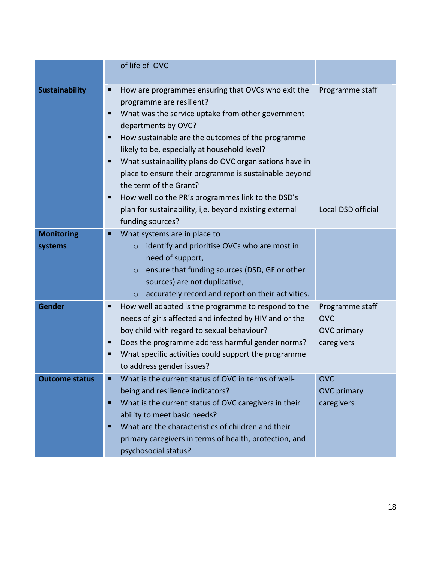|                              | of life of OVC                                                                                                                                                                                                                                                                                                                     |                                                                   |
|------------------------------|------------------------------------------------------------------------------------------------------------------------------------------------------------------------------------------------------------------------------------------------------------------------------------------------------------------------------------|-------------------------------------------------------------------|
| <b>Sustainability</b>        | Programme staff                                                                                                                                                                                                                                                                                                                    |                                                                   |
|                              | How well do the PR's programmes link to the DSD's<br>п<br>plan for sustainability, i,e. beyond existing external<br>funding sources?                                                                                                                                                                                               | Local DSD official                                                |
| <b>Monitoring</b><br>systems | What systems are in place to<br>identify and prioritise OVCs who are most in<br>$\circ$<br>need of support,<br>ensure that funding sources (DSD, GF or other<br>$\circ$<br>sources) are not duplicative,<br>accurately record and report on their activities.<br>$\circ$                                                           |                                                                   |
| <b>Gender</b>                | How well adapted is the programme to respond to the<br>п<br>needs of girls affected and infected by HIV and or the<br>boy child with regard to sexual behaviour?<br>Does the programme address harmful gender norms?<br>п<br>What specific activities could support the programme<br>п<br>to address gender issues?                | Programme staff<br><b>OVC</b><br><b>OVC</b> primary<br>caregivers |
| <b>Outcome status</b>        | What is the current status of OVC in terms of well-<br>being and resilience indicators?<br>What is the current status of OVC caregivers in their<br>п<br>ability to meet basic needs?<br>What are the characteristics of children and their<br>π<br>primary caregivers in terms of health, protection, and<br>psychosocial status? | <b>OVC</b><br><b>OVC</b> primary<br>caregivers                    |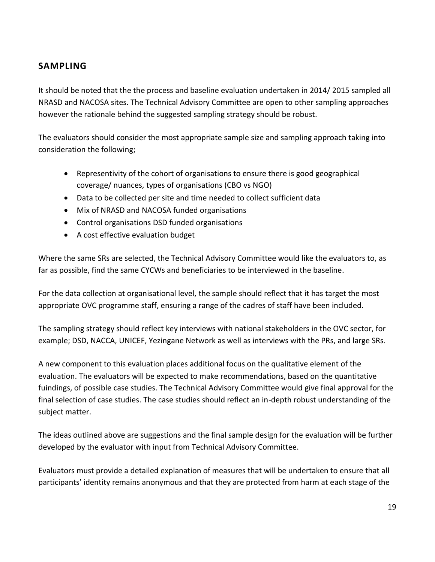### **SAMPLING**

It should be noted that the the process and baseline evaluation undertaken in 2014/ 2015 sampled all NRASD and NACOSA sites. The Technical Advisory Committee are open to other sampling approaches however the rationale behind the suggested sampling strategy should be robust.

The evaluators should consider the most appropriate sample size and sampling approach taking into consideration the following;

- Representivity of the cohort of organisations to ensure there is good geographical coverage/ nuances, types of organisations (CBO vs NGO)
- Data to be collected per site and time needed to collect sufficient data
- Mix of NRASD and NACOSA funded organisations
- Control organisations DSD funded organisations
- A cost effective evaluation budget

Where the same SRs are selected, the Technical Advisory Committee would like the evaluators to, as far as possible, find the same CYCWs and beneficiaries to be interviewed in the baseline.

For the data collection at organisational level, the sample should reflect that it has target the most appropriate OVC programme staff, ensuring a range of the cadres of staff have been included.

The sampling strategy should reflect key interviews with national stakeholders in the OVC sector, for example; DSD, NACCA, UNICEF, Yezingane Network as well as interviews with the PRs, and large SRs.

A new component to this evaluation places additional focus on the qualitative element of the evaluation. The evaluators will be expected to make recommendations, based on the quantitative fuindings, of possible case studies. The Technical Advisory Committee would give final approval for the final selection of case studies. The case studies should reflect an in-depth robust understanding of the subject matter.

The ideas outlined above are suggestions and the final sample design for the evaluation will be further developed by the evaluator with input from Technical Advisory Committee.

Evaluators must provide a detailed explanation of measures that will be undertaken to ensure that all participants' identity remains anonymous and that they are protected from harm at each stage of the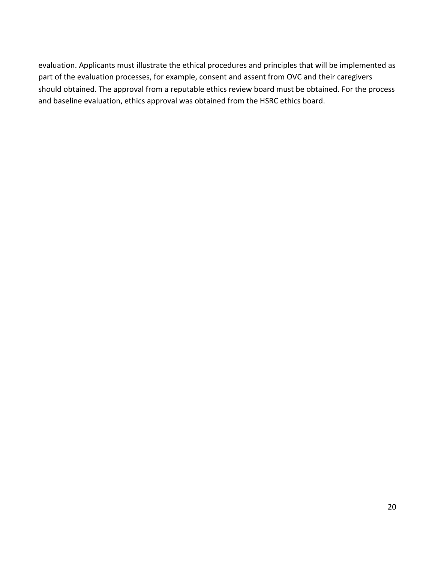evaluation. Applicants must illustrate the ethical procedures and principles that will be implemented as part of the evaluation processes, for example, consent and assent from OVC and their caregivers should obtained. The approval from a reputable ethics review board must be obtained. For the process and baseline evaluation, ethics approval was obtained from the HSRC ethics board.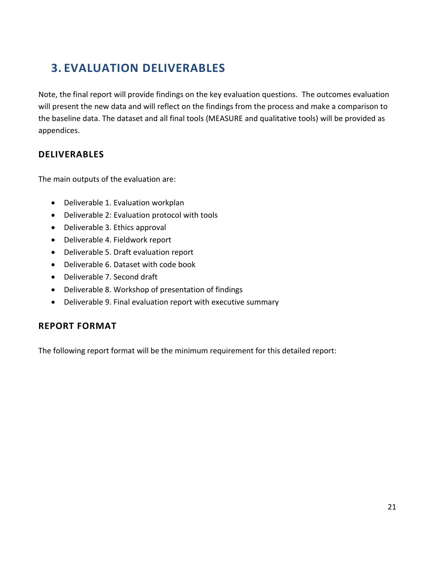## **3. EVALUATION DELIVERABLES**

Note, the final report will provide findings on the key evaluation questions. The outcomes evaluation will present the new data and will reflect on the findings from the process and make a comparison to the baseline data. The dataset and all final tools (MEASURE and qualitative tools) will be provided as appendices.

#### **DELIVERABLES**

The main outputs of the evaluation are:

- Deliverable 1. Evaluation workplan
- Deliverable 2: Evaluation protocol with tools
- Deliverable 3. Ethics approval
- Deliverable 4. Fieldwork report
- Deliverable 5. Draft evaluation report
- Deliverable 6. Dataset with code book
- Deliverable 7. Second draft
- Deliverable 8. Workshop of presentation of findings
- Deliverable 9. Final evaluation report with executive summary

### **REPORT FORMAT**

The following report format will be the minimum requirement for this detailed report: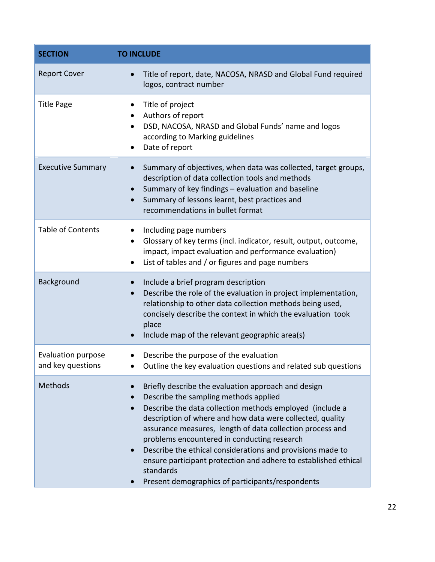| <b>SECTION</b>                                 | <b>TO INCLUDE</b>                                                                                                                                                                                                                                                                                                                                                                                                                                                                                                                   |
|------------------------------------------------|-------------------------------------------------------------------------------------------------------------------------------------------------------------------------------------------------------------------------------------------------------------------------------------------------------------------------------------------------------------------------------------------------------------------------------------------------------------------------------------------------------------------------------------|
| <b>Report Cover</b>                            | Title of report, date, NACOSA, NRASD and Global Fund required<br>logos, contract number                                                                                                                                                                                                                                                                                                                                                                                                                                             |
| <b>Title Page</b>                              | Title of project<br>Authors of report<br>DSD, NACOSA, NRASD and Global Funds' name and logos<br>according to Marking guidelines<br>Date of report                                                                                                                                                                                                                                                                                                                                                                                   |
| <b>Executive Summary</b>                       | Summary of objectives, when data was collected, target groups,<br>description of data collection tools and methods<br>Summary of key findings - evaluation and baseline<br>Summary of lessons learnt, best practices and<br>recommendations in bullet format                                                                                                                                                                                                                                                                        |
| <b>Table of Contents</b>                       | Including page numbers<br>Glossary of key terms (incl. indicator, result, output, outcome,<br>impact, impact evaluation and performance evaluation)<br>List of tables and / or figures and page numbers                                                                                                                                                                                                                                                                                                                             |
| Background                                     | Include a brief program description<br>Describe the role of the evaluation in project implementation,<br>relationship to other data collection methods being used,<br>concisely describe the context in which the evaluation took<br>place<br>Include map of the relevant geographic area(s)                                                                                                                                                                                                                                        |
| <b>Evaluation purpose</b><br>and key questions | Describe the purpose of the evaluation<br>Outline the key evaluation questions and related sub questions                                                                                                                                                                                                                                                                                                                                                                                                                            |
| Methods                                        | Briefly describe the evaluation approach and design<br>Describe the sampling methods applied<br>Describe the data collection methods employed (include a<br>description of where and how data were collected, quality<br>assurance measures, length of data collection process and<br>problems encountered in conducting research<br>Describe the ethical considerations and provisions made to<br>ensure participant protection and adhere to established ethical<br>standards<br>Present demographics of participants/respondents |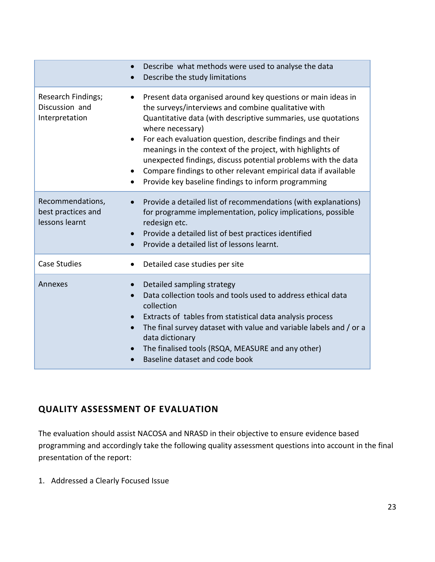|                                                          | Describe what methods were used to analyse the data<br>$\bullet$<br>Describe the study limitations<br>$\bullet$                                                                                                                                                                                                                                                                                                                                                                                                                                         |
|----------------------------------------------------------|---------------------------------------------------------------------------------------------------------------------------------------------------------------------------------------------------------------------------------------------------------------------------------------------------------------------------------------------------------------------------------------------------------------------------------------------------------------------------------------------------------------------------------------------------------|
| Research Findings;<br>Discussion and<br>Interpretation   | Present data organised around key questions or main ideas in<br>$\bullet$<br>the surveys/interviews and combine qualitative with<br>Quantitative data (with descriptive summaries, use quotations<br>where necessary)<br>For each evaluation question, describe findings and their<br>$\bullet$<br>meanings in the context of the project, with highlights of<br>unexpected findings, discuss potential problems with the data<br>Compare findings to other relevant empirical data if available<br>Provide key baseline findings to inform programming |
| Recommendations,<br>best practices and<br>lessons learnt | Provide a detailed list of recommendations (with explanations)<br>$\bullet$<br>for programme implementation, policy implications, possible<br>redesign etc.<br>Provide a detailed list of best practices identified<br>$\bullet$<br>Provide a detailed list of lessons learnt.<br>$\bullet$                                                                                                                                                                                                                                                             |
| <b>Case Studies</b>                                      | Detailed case studies per site                                                                                                                                                                                                                                                                                                                                                                                                                                                                                                                          |
| Annexes                                                  | Detailed sampling strategy<br>Data collection tools and tools used to address ethical data<br>collection<br>Extracts of tables from statistical data analysis process<br>$\bullet$<br>The final survey dataset with value and variable labels and / or a<br>$\bullet$<br>data dictionary<br>The finalised tools (RSQA, MEASURE and any other)<br>$\bullet$<br>Baseline dataset and code book                                                                                                                                                            |

### **QUALITY ASSESSMENT OF EVALUATION**

The evaluation should assist NACOSA and NRASD in their objective to ensure evidence based programming and accordingly take the following quality assessment questions into account in the final presentation of the report:

1. Addressed a Clearly Focused Issue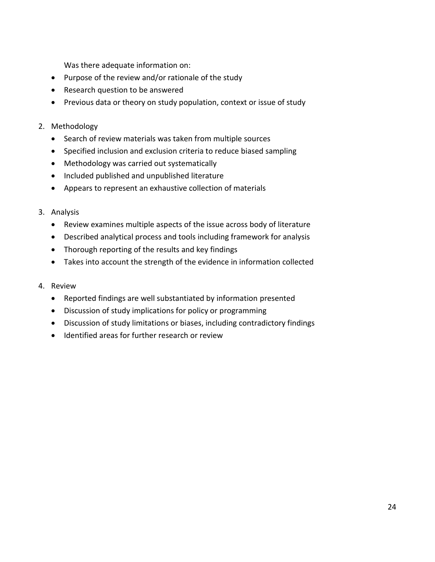Was there adequate information on:

- Purpose of the review and/or rationale of the study
- Research question to be answered
- Previous data or theory on study population, context or issue of study

#### 2. Methodology

- Search of review materials was taken from multiple sources
- Specified inclusion and exclusion criteria to reduce biased sampling
- Methodology was carried out systematically
- Included published and unpublished literature
- Appears to represent an exhaustive collection of materials

#### 3. Analysis

- Review examines multiple aspects of the issue across body of literature
- Described analytical process and tools including framework for analysis
- Thorough reporting of the results and key findings
- Takes into account the strength of the evidence in information collected

#### 4. Review

- Reported findings are well substantiated by information presented
- Discussion of study implications for policy or programming
- Discussion of study limitations or biases, including contradictory findings
- Identified areas for further research or review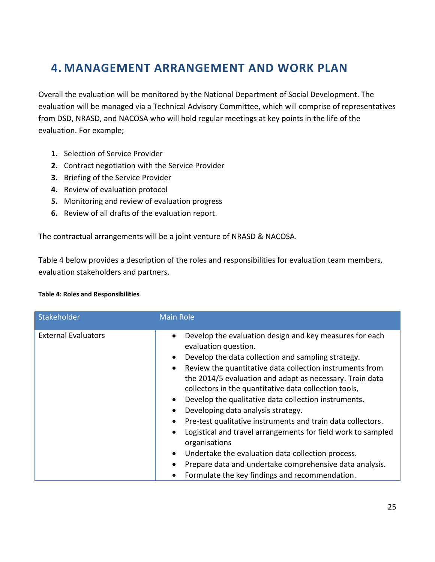## **4. MANAGEMENT ARRANGEMENT AND WORK PLAN**

Overall the evaluation will be monitored by the National Department of Social Development. The evaluation will be managed via a Technical Advisory Committee, which will comprise of representatives from DSD, NRASD, and NACOSA who will hold regular meetings at key points in the life of the evaluation. For example;

- **1.** Selection of Service Provider
- **2.** Contract negotiation with the Service Provider
- **3.** Briefing of the Service Provider
- **4.** Review of evaluation protocol
- **5.** Monitoring and review of evaluation progress
- **6.** Review of all drafts of the evaluation report.

The contractual arrangements will be a joint venture of NRASD & NACOSA.

Table 4 below provides a description of the roles and responsibilities for evaluation team members, evaluation stakeholders and partners.

#### **Table 4: Roles and Responsibilities**

| Stakeholder                | Main Role                                                                                                                                                                                                                                                                                                                                                                                                                                                                                                                                                                                                                                                                                                                                                                                                                                                   |
|----------------------------|-------------------------------------------------------------------------------------------------------------------------------------------------------------------------------------------------------------------------------------------------------------------------------------------------------------------------------------------------------------------------------------------------------------------------------------------------------------------------------------------------------------------------------------------------------------------------------------------------------------------------------------------------------------------------------------------------------------------------------------------------------------------------------------------------------------------------------------------------------------|
| <b>External Evaluators</b> | Develop the evaluation design and key measures for each<br>$\bullet$<br>evaluation question.<br>Develop the data collection and sampling strategy.<br>$\bullet$<br>Review the quantitative data collection instruments from<br>$\bullet$<br>the 2014/5 evaluation and adapt as necessary. Train data<br>collectors in the quantitative data collection tools,<br>Develop the qualitative data collection instruments.<br>$\bullet$<br>Developing data analysis strategy.<br>$\bullet$<br>Pre-test qualitative instruments and train data collectors.<br>$\bullet$<br>Logistical and travel arrangements for field work to sampled<br>$\bullet$<br>organisations<br>Undertake the evaluation data collection process.<br>$\bullet$<br>Prepare data and undertake comprehensive data analysis.<br>$\bullet$<br>Formulate the key findings and recommendation. |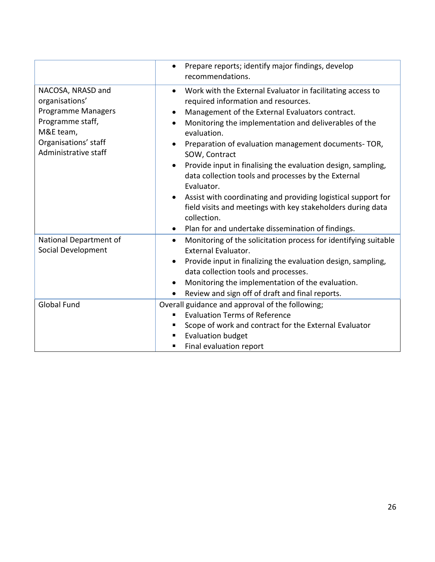|                                                                                                                                                   | Prepare reports; identify major findings, develop<br>$\bullet$<br>recommendations.                                                                                                                                                                                                                                                                                                                                                                                                                                                                                                                                                                                                                                                       |
|---------------------------------------------------------------------------------------------------------------------------------------------------|------------------------------------------------------------------------------------------------------------------------------------------------------------------------------------------------------------------------------------------------------------------------------------------------------------------------------------------------------------------------------------------------------------------------------------------------------------------------------------------------------------------------------------------------------------------------------------------------------------------------------------------------------------------------------------------------------------------------------------------|
| NACOSA, NRASD and<br>organisations'<br><b>Programme Managers</b><br>Programme staff,<br>M&E team,<br>Organisations' staff<br>Administrative staff | Work with the External Evaluator in facilitating access to<br>$\bullet$<br>required information and resources.<br>Management of the External Evaluators contract.<br>$\bullet$<br>Monitoring the implementation and deliverables of the<br>$\bullet$<br>evaluation.<br>Preparation of evaluation management documents-TOR,<br>$\bullet$<br>SOW, Contract<br>Provide input in finalising the evaluation design, sampling,<br>$\bullet$<br>data collection tools and processes by the External<br>Evaluator.<br>Assist with coordinating and providing logistical support for<br>$\bullet$<br>field visits and meetings with key stakeholders during data<br>collection.<br>Plan for and undertake dissemination of findings.<br>$\bullet$ |
| National Department of<br>Social Development                                                                                                      | Monitoring of the solicitation process for identifying suitable<br>$\bullet$<br><b>External Evaluator.</b>                                                                                                                                                                                                                                                                                                                                                                                                                                                                                                                                                                                                                               |
|                                                                                                                                                   | Provide input in finalizing the evaluation design, sampling,<br>$\bullet$<br>data collection tools and processes.<br>Monitoring the implementation of the evaluation.<br>$\bullet$<br>Review and sign off of draft and final reports.<br>$\bullet$                                                                                                                                                                                                                                                                                                                                                                                                                                                                                       |
| <b>Global Fund</b>                                                                                                                                | Overall guidance and approval of the following;<br><b>Evaluation Terms of Reference</b><br>٠<br>Scope of work and contract for the External Evaluator<br>п<br><b>Evaluation budget</b><br>Final evaluation report<br>п                                                                                                                                                                                                                                                                                                                                                                                                                                                                                                                   |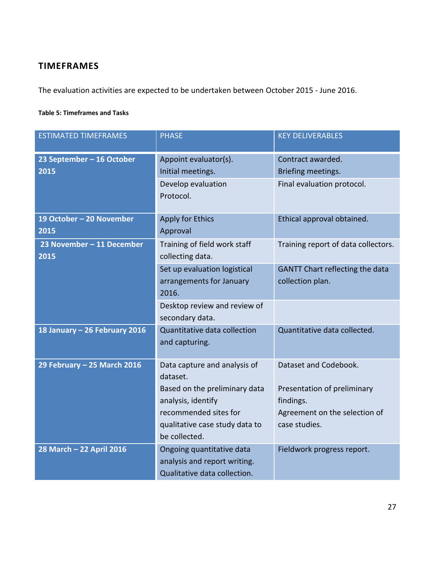## **TIMEFRAMES**

The evaluation activities are expected to be undertaken between October 2015 - June 2016.

#### **Table 5: Timeframes and Tasks**

| <b>ESTIMATED TIMEFRAMES</b>       | <b>PHASE</b>                                                                                                                                                                | <b>KEY DELIVERABLES</b>                                                                                             |  |
|-----------------------------------|-----------------------------------------------------------------------------------------------------------------------------------------------------------------------------|---------------------------------------------------------------------------------------------------------------------|--|
| 23 September - 16 October<br>2015 | Appoint evaluator(s).<br>Initial meetings.<br>Develop evaluation<br>Protocol.                                                                                               | Contract awarded.<br>Briefing meetings.<br>Final evaluation protocol.                                               |  |
| 19 October - 20 November<br>2015  | <b>Apply for Ethics</b><br>Approval                                                                                                                                         | Ethical approval obtained.                                                                                          |  |
| 23 November - 11 December<br>2015 | Training of field work staff<br>collecting data.                                                                                                                            | Training report of data collectors.                                                                                 |  |
|                                   | Set up evaluation logistical<br>arrangements for January<br>2016.                                                                                                           | <b>GANTT Chart reflecting the data</b><br>collection plan.                                                          |  |
|                                   | Desktop review and review of<br>secondary data.                                                                                                                             |                                                                                                                     |  |
| 18 January - 26 February 2016     | Quantitative data collection<br>and capturing.                                                                                                                              | Quantitative data collected.                                                                                        |  |
| 29 February - 25 March 2016       | Data capture and analysis of<br>dataset.<br>Based on the preliminary data<br>analysis, identify<br>recommended sites for<br>qualitative case study data to<br>be collected. | Dataset and Codebook.<br>Presentation of preliminary<br>findings.<br>Agreement on the selection of<br>case studies. |  |
| 28 March - 22 April 2016          | Ongoing quantitative data<br>analysis and report writing.<br>Qualitative data collection.                                                                                   | Fieldwork progress report.                                                                                          |  |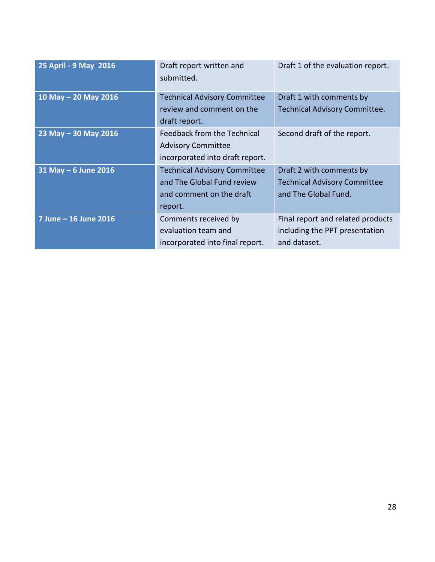| 25 April - 9 May 2016 | Draft report written and<br>submitted.                                                                   | Draft 1 of the evaluation report.                                                       |
|-----------------------|----------------------------------------------------------------------------------------------------------|-----------------------------------------------------------------------------------------|
| 10 May - 20 May 2016  | <b>Technical Advisory Committee</b><br>review and comment on the<br>draft report.                        | Draft 1 with comments by<br><b>Technical Advisory Committee.</b>                        |
| 23 May - 30 May 2016  | Feedback from the Technical<br><b>Advisory Committee</b><br>incorporated into draft report.              | Second draft of the report.                                                             |
| 31 May - 6 June 2016  | <b>Technical Advisory Committee</b><br>and The Global Fund review<br>and comment on the draft<br>report. | Draft 2 with comments by<br><b>Technical Advisory Committee</b><br>and The Global Fund. |
| 7 June - 16 June 2016 | Comments received by<br>evaluation team and<br>incorporated into final report.                           | Final report and related products<br>including the PPT presentation<br>and dataset.     |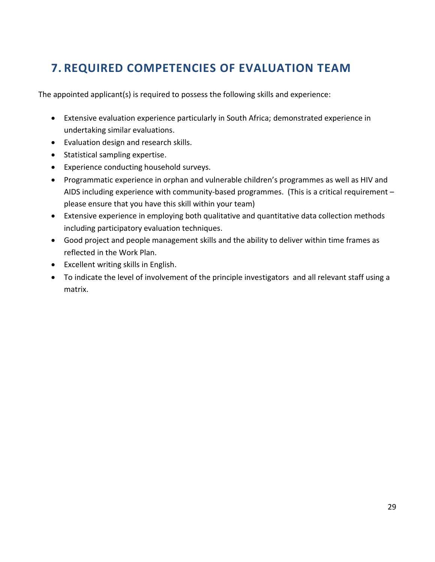## **7. REQUIRED COMPETENCIES OF EVALUATION TEAM**

The appointed applicant(s) is required to possess the following skills and experience:

- Extensive evaluation experience particularly in South Africa; demonstrated experience in undertaking similar evaluations.
- Evaluation design and research skills.
- Statistical sampling expertise.
- Experience conducting household surveys.
- Programmatic experience in orphan and vulnerable children's programmes as well as HIV and AIDS including experience with community-based programmes. (This is a critical requirement – please ensure that you have this skill within your team)
- Extensive experience in employing both qualitative and quantitative data collection methods including participatory evaluation techniques.
- Good project and people management skills and the ability to deliver within time frames as reflected in the Work Plan.
- Excellent writing skills in English.
- To indicate the level of involvement of the principle investigators and all relevant staff using a matrix.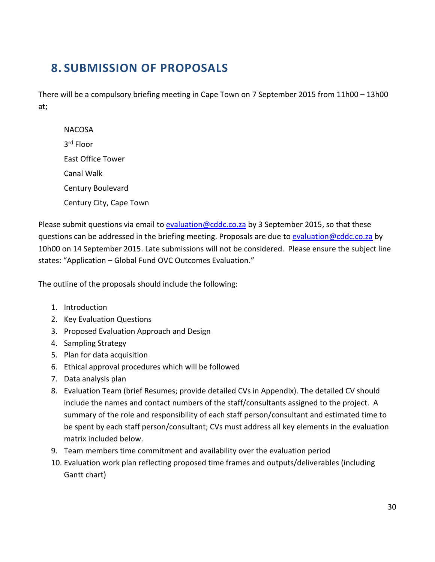## **8. SUBMISSION OF PROPOSALS**

There will be a compulsory briefing meeting in Cape Town on 7 September 2015 from 11h00 – 13h00 at;

**NACOSA** 3 rd Floor East Office Tower Canal Walk Century Boulevard Century City, Cape Town

Please submit questions via email t[o evaluation@cddc.co.za](mailto:evaluation@cddc.co.za) by 3 September 2015, so that these questions can be addressed in the briefing meeting. Proposals are due to [evaluation@cddc.co.za](mailto:evaluation@cddc.co.za) by 10h00 on 14 September 2015. Late submissions will not be considered. Please ensure the subject line states: "Application – Global Fund OVC Outcomes Evaluation."

The outline of the proposals should include the following:

- 1. Introduction
- 2. Key Evaluation Questions
- 3. Proposed Evaluation Approach and Design
- 4. Sampling Strategy
- 5. Plan for data acquisition
- 6. Ethical approval procedures which will be followed
- 7. Data analysis plan
- 8. Evaluation Team (brief Resumes; provide detailed CVs in Appendix). The detailed CV should include the names and contact numbers of the staff/consultants assigned to the project. A summary of the role and responsibility of each staff person/consultant and estimated time to be spent by each staff person/consultant; CVs must address all key elements in the evaluation matrix included below.
- 9. Team members time commitment and availability over the evaluation period
- 10. Evaluation work plan reflecting proposed time frames and outputs/deliverables (including Gantt chart)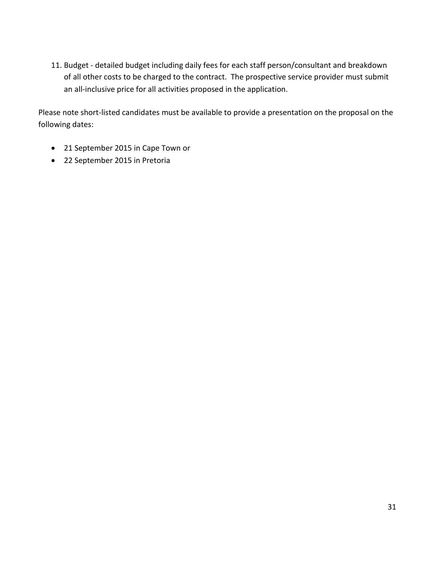11. Budget - detailed budget including daily fees for each staff person/consultant and breakdown of all other costs to be charged to the contract. The prospective service provider must submit an all-inclusive price for all activities proposed in the application.

Please note short-listed candidates must be available to provide a presentation on the proposal on the following dates:

- 21 September 2015 in Cape Town or
- 22 September 2015 in Pretoria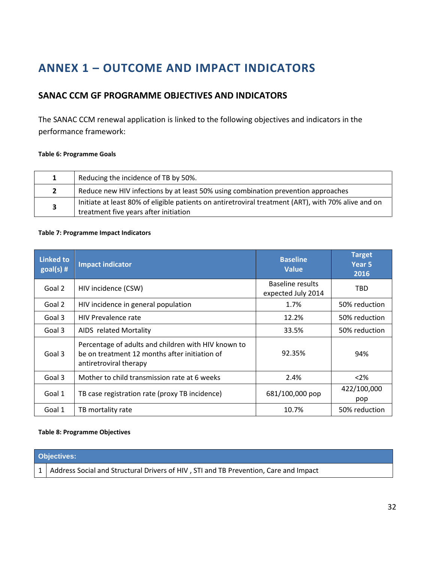## **ANNEX 1 – OUTCOME AND IMPACT INDICATORS**

### **SANAC CCM GF PROGRAMME OBJECTIVES AND INDICATORS**

The SANAC CCM renewal application is linked to the following objectives and indicators in the performance framework:

#### **Table 6: Programme Goals**

| Reducing the incidence of TB by 50%.                                                                                                         |
|----------------------------------------------------------------------------------------------------------------------------------------------|
| Reduce new HIV infections by at least 50% using combination prevention approaches                                                            |
| Initiate at least 80% of eligible patients on antiretroviral treatment (ART), with 70% alive and on<br>treatment five years after initiation |

#### **Table 7: Programme Impact Indicators**

| <b>Linked to</b><br>$goal(s)$ # | Impact indicator                                                                                                               | <b>Baseline</b><br><b>Value</b>        | <b>Target</b><br>Year <sub>5</sub><br>2016 |
|---------------------------------|--------------------------------------------------------------------------------------------------------------------------------|----------------------------------------|--------------------------------------------|
| Goal 2                          | HIV incidence (CSW)                                                                                                            | Baseline results<br>expected July 2014 | TBD                                        |
| Goal 2                          | HIV incidence in general population                                                                                            | 1.7%                                   | 50% reduction                              |
| Goal 3                          | <b>HIV Prevalence rate</b>                                                                                                     | 12.2%                                  | 50% reduction                              |
| Goal 3                          | AIDS related Mortality                                                                                                         | 33.5%                                  | 50% reduction                              |
| Goal 3                          | Percentage of adults and children with HIV known to<br>be on treatment 12 months after initiation of<br>antiretroviral therapy | 92.35%                                 | 94%                                        |
| Goal 3                          | Mother to child transmission rate at 6 weeks                                                                                   | 2.4%                                   | $<$ 2%                                     |
| Goal 1                          | TB case registration rate (proxy TB incidence)                                                                                 | 681/100,000 pop                        | 422/100,000<br>pop                         |
| Goal 1                          | TB mortality rate                                                                                                              | 10.7%                                  | 50% reduction                              |

#### **Table 8: Programme Objectives**

|  |  | <b>Objectives:</b> |
|--|--|--------------------|
|  |  |                    |

1 | Address Social and Structural Drivers of HIV, STI and TB Prevention, Care and Impact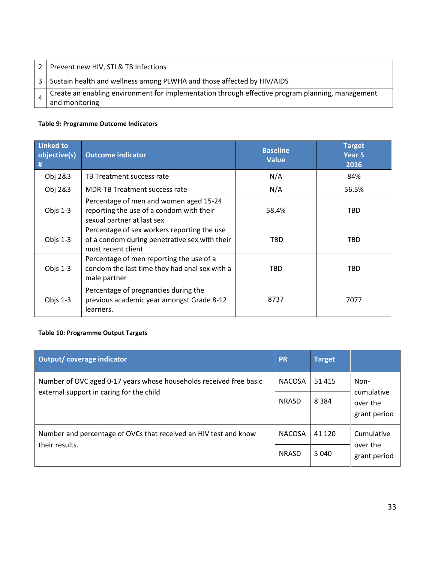| 2 | Prevent new HIV, STI & TB Infections                                                                               |
|---|--------------------------------------------------------------------------------------------------------------------|
| 3 | Sustain health and wellness among PLWHA and those affected by HIV/AIDS                                             |
|   | Create an enabling environment for implementation through effective program planning, management<br>and monitoring |

#### **Table 9: Programme Outcome Indicators**

| <b>Linked to</b><br>objective(s)<br># | <b>Outcome indicator</b>                                                                                           | <b>Baseline</b><br><b>Value</b> | <b>Target</b><br>Year <sub>5</sub><br>2016 |
|---------------------------------------|--------------------------------------------------------------------------------------------------------------------|---------------------------------|--------------------------------------------|
| Obj 2&3                               | TB Treatment success rate                                                                                          | N/A                             | 84%                                        |
| Obj 2&3                               | <b>MDR-TB Treatment success rate</b>                                                                               | N/A                             | 56.5%                                      |
| Objs $1-3$                            | Percentage of men and women aged 15-24<br>reporting the use of a condom with their<br>sexual partner at last sex   | 58.4%                           | TBD                                        |
| Objs $1-3$                            | Percentage of sex workers reporting the use<br>of a condom during penetrative sex with their<br>most recent client | TBD                             | TBD                                        |
| Objs $1-3$                            | Percentage of men reporting the use of a<br>condom the last time they had anal sex with a<br>male partner          | TBD                             | TBD                                        |
| Objs $1-3$                            | Percentage of pregnancies during the<br>previous academic year amongst Grade 8-12<br>learners.                     | 8737                            | 7077                                       |

#### **Table 10: Programme Output Targets**

| Output/ coverage indicator                                                                                     | <b>PR</b>     | <b>Target</b> |                          |
|----------------------------------------------------------------------------------------------------------------|---------------|---------------|--------------------------|
| Number of OVC aged 0-17 years whose households received free basic<br>external support in caring for the child | <b>NACOSA</b> | 51 415        | Non-<br>cumulative       |
|                                                                                                                | <b>NRASD</b>  | 8 3 8 4       | over the<br>grant period |
| Number and percentage of OVCs that received an HIV test and know<br>their results.                             | <b>NACOSA</b> | 41 1 2 0      | Cumulative               |
|                                                                                                                | <b>NRASD</b>  | 5 0 4 0       | over the<br>grant period |